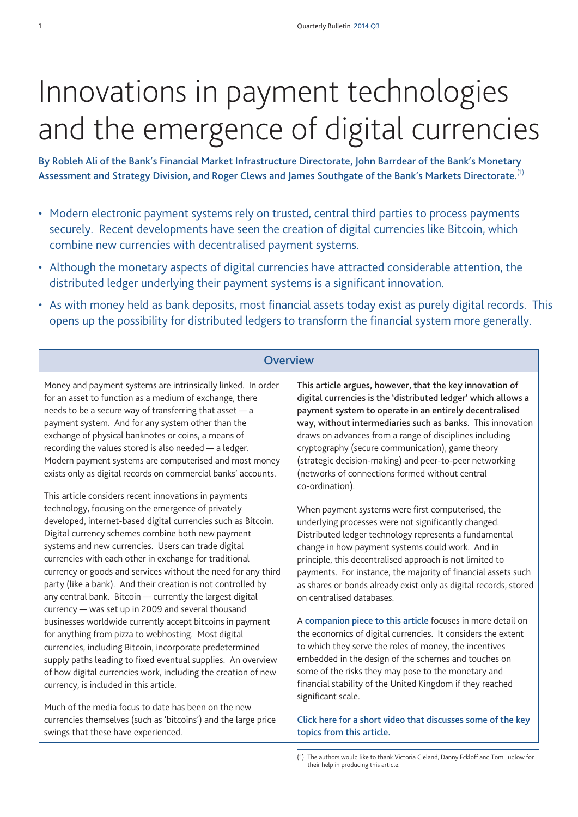# Innovations in payment technologies and the emergence of digital currencies

**By Robleh Ali of the Bank's Financial Market Infrastructure Directorate, John Barrdear of the Bank's Monetary Assessment and Strategy Division, and Roger Clews and James Southgate of the Bank's Markets Directorate.** (1)

- Modern electronic payment systems rely on trusted, central third parties to process payments securely. Recent developments have seen the creation of digital currencies like Bitcoin, which combine new currencies with decentralised payment systems.
- Although the monetary aspects of digital currencies have attracted considerable attention, the distributed ledger underlying their payment systems is a significant innovation.
- As with money held as bank deposits, most financial assets today exist as purely digital records. This opens up the possibility for distributed ledgers to transform the financial system more generally.

# **Overview**

Money and payment systems are intrinsically linked. In order for an asset to function as a medium of exchange, there needs to be a secure way of transferring that asset — a payment system. And for any system other than the exchange of physical banknotes or coins, a means of recording the values stored is also needed — a ledger. Modern payment systems are computerised and most money exists only as digital records on commercial banks' accounts.

This article considers recent innovations in payments technology, focusing on the emergence of privately developed, internet-based digital currencies such as Bitcoin. Digital currency schemes combine both new payment systems and new currencies. Users can trade digital currencies with each other in exchange for traditional currency or goods and services without the need for any third party (like a bank). And their creation is not controlled by any central bank. Bitcoin — currently the largest digital currency — was set up in 2009 and several thousand businesses worldwide currently accept bitcoins in payment for anything from pizza to webhosting. Most digital currencies, including Bitcoin, incorporate predetermined supply paths leading to fixed eventual supplies. An overview of how digital currencies work, including the creation of new currency, is included in this article.

Much of the media focus to date has been on the new currencies themselves (such as 'bitcoins') and the large price swings that these have experienced.

**This article argues, however, that the key innovation of digital currencies is the 'distributed ledger' which allows a payment system to operate in an entirely decentralised way, without intermediaries such as banks**. This innovation draws on advances from a range of disciplines including cryptography (secure communication), game theory (strategic decision-making) and peer-to-peer networking (networks of connections formed without central co-ordination).

When payment systems were first computerised, the underlying processes were not significantly changed. Distributed ledger technology represents a fundamental change in how payment systems could work. And in principle, this decentralised approach is not limited to payments. For instance, the majority of financial assets such as shares or bonds already exist only as digital records, stored on centralised databases.

A **[companion](http://www.bankofengland.co.uk/publications/Documents/quarterlybulletin/2014/qb14q302.pdf) piece to this article** focuses in more detail on the economics of digital currencies. It considers the extent to which they serve the roles of money, the incentives embedded in the design of the schemes and touches on some of the risks they may pose to the monetary and financial stability of the United Kingdom if they reached significant scale.

**Click here for a short video that discusses some of the key topics from this article.**

<sup>(1)</sup> The authors would like to thank Victoria Cleland, Danny Eckloff and Tom Ludlow for their help in producing this article.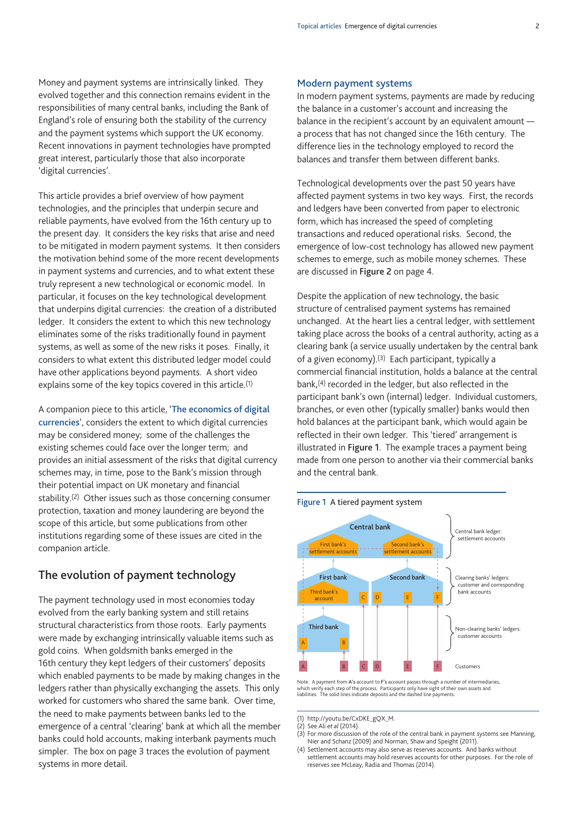Money and payment systems are intrinsically linked. They evolved together and this connection remains evident in the responsibilities of many central banks, including the Bank of England's role of ensuring both the stability of the currency and the payment systems which support the UK economy. Recent innovations in payment technologies have prompted great interest, particularly those that also incorporate 'digital currencies'.

This article provides a brief overview of how payment technologies, and the principles that underpin secure and reliable payments, have evolved from the 16th century up to the present day. It considers the key risks that arise and need to be mitigated in modern payment systems. It then considers the motivation behind some of the more recent developments in payment systems and currencies, and to what extent these truly represent a new technological or economic model. In particular, it focuses on the key technological development that underpins digital currencies: the creation of a distributed ledger. It considers the extent to which this new technology eliminates some of the risks traditionally found in payment systems, as well as some of the new risks it poses. Finally, it considers to what extent this distributed ledger model could have other applications beyond payments. A short video explains some of the key topics covered in this article.(1)

A companion piece to this article, '**The [economics](http://www.bankofengland.co.uk/publications/Documents/quarterlybulletin/2014/qb14q302.pdf) of digital [currencies](http://www.bankofengland.co.uk/publications/Documents/quarterlybulletin/2014/qb14q302.pdf)**', considers the extent to which digital currencies may be considered money; some of the challenges the existing schemes could face over the longer term; and provides an initial assessment of the risks that digital currency schemes may, in time, pose to the Bank's mission through their potential impact on UK monetary and financial stability.(2) Other issues such as those concerning consumer protection, taxation and money laundering are beyond the scope of this article, but some publications from other institutions regarding some of these issues are cited in the companion article.

# **The evolution of payment technology**

The payment technology used in most economies today evolved from the early banking system and still retains structural characteristics from those roots. Early payments were made by exchanging intrinsically valuable items such as gold coins. When goldsmith banks emerged in the 16th century they kept ledgers of their customers' deposits which enabled payments to be made by making changes in the ledgers rather than physically exchanging the assets. This only worked for customers who shared the same bank. Over time, the need to make payments between banks led to the emergence of a central 'clearing' bank at which all the member banks could hold accounts, making interbank payments much simpler. The box on page 3 traces the evolution of payment systems in more detail.

#### **Modern payment systems**

In modern payment systems, payments are made by reducing the balance in a customer's account and increasing the balance in the recipient's account by an equivalent amount a process that has not changed since the 16th century. The difference lies in the technology employed to record the balances and transfer them between different banks.

Technological developments over the past 50 years have affected payment systems in two key ways. First, the records and ledgers have been converted from paper to electronic form, which has increased the speed of completing transactions and reduced operational risks. Second, the emergence of low-cost technology has allowed new payment schemes to emerge, such as mobile money schemes. These are discussed in **Figure 2** on page 4.

Despite the application of new technology, the basic structure of centralised payment systems has remained unchanged. At the heart lies a central ledger, with settlement taking place across the books of a central authority, acting as a clearing bank (a service usually undertaken by the central bank of a given economy).<sup>(3)</sup> Each participant, typically a commercial financial institution, holds a balance at the central bank,(4) recorded in the ledger, but also reflected in the participant bank's own (internal) ledger. Individual customers, branches, or even other (typically smaller) banks would then hold balances at the participant bank, which would again be reflected in their own ledger. This 'tiered' arrangement is illustrated in **Figure 1**. The example traces a payment being made from one person to another via their commercial banks and the central bank.





Note: A payment from **A's** account to **F's** account passes through a number of intermediaries, which verify each step of the process. Participants only have sight of their own assets anc<br>liabilities. The solid lines indicate deposits and the dashed line payments.

<sup>(1)</sup> http://youtu.be/CxDKE\_gQX\_M.

<sup>(2)</sup> See Ali *et al* (2014).

<sup>(3)</sup> For more discussion of the role of the central bank in payment systems see Manning, Nier and Schanz (2009) and Norman, Shaw and Speight (2011).

<sup>(4)</sup> Settlement accounts may also serve as reserves accounts. And banks without settlement accounts may hold reserves accounts for other purposes. For the role of reserves see McLeay, Radia and Thomas (2014).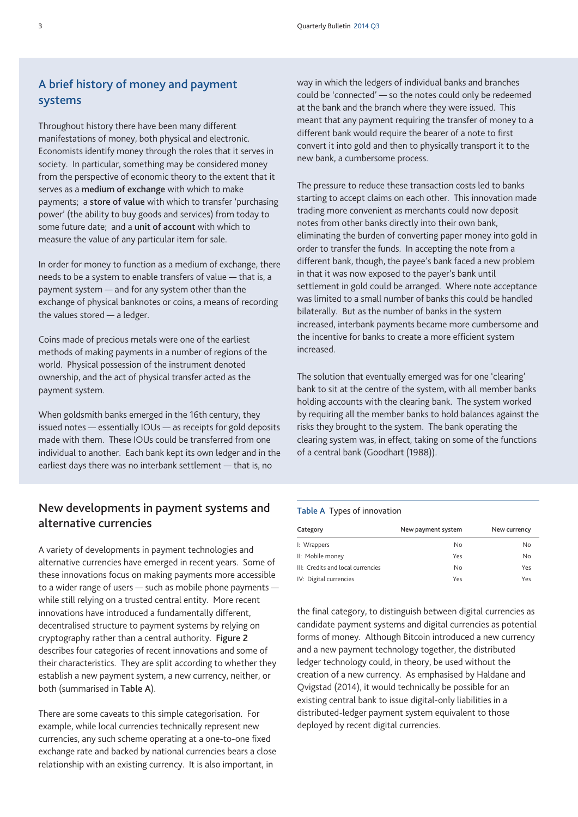# **A brief history of money and payment systems**

Throughout history there have been many different manifestations of money, both physical and electronic. Economists identify money through the roles that it serves in society. In particular, something may be considered money from the perspective of economic theory to the extent that it serves as a **medium of exchange** with which to make payments; a **store of value** with which to transfer 'purchasing power' (the ability to buy goods and services) from today to some future date; and a **unit of account** with which to measure the value of any particular item for sale.

In order for money to function as a medium of exchange, there needs to be a system to enable transfers of value — that is, a payment system — and for any system other than the exchange of physical banknotes or coins, a means of recording the values stored — a ledger.

Coins made of precious metals were one of the earliest methods of making payments in a number of regions of the world. Physical possession of the instrument denoted ownership, and the act of physical transfer acted as the payment system.

When goldsmith banks emerged in the 16th century, they issued notes — essentially IOUs — as receipts for gold deposits made with them. These IOUs could be transferred from one individual to another. Each bank kept its own ledger and in the earliest days there was no interbank settlement — that is, no

# **New developments in payment systems and alternative currencies**

A variety of developments in payment technologies and alternative currencies have emerged in recent years. Some of these innovations focus on making payments more accessible to a wider range of users — such as mobile phone payments while still relying on a trusted central entity. More recent innovations have introduced a fundamentally different, decentralised structure to payment systems by relying on cryptography rather than a central authority. **Figure 2** describes four categories of recent innovations and some of their characteristics. They are split according to whether they establish a new payment system, a new currency, neither, or both (summarised in **Table A**).

There are some caveats to this simple categorisation. For example, while local currencies technically represent new currencies, any such scheme operating at a one-to-one fixed exchange rate and backed by national currencies bears a close relationship with an existing currency. It is also important, in

way in which the ledgers of individual banks and branches could be 'connected' — so the notes could only be redeemed at the bank and the branch where they were issued. This meant that any payment requiring the transfer of money to a different bank would require the bearer of a note to first convert it into gold and then to physically transport it to the new bank, a cumbersome process.

The pressure to reduce these transaction costs led to banks starting to accept claims on each other. This innovation made trading more convenient as merchants could now deposit notes from other banks directly into their own bank, eliminating the burden of converting paper money into gold in order to transfer the funds. In accepting the note from a different bank, though, the payee's bank faced a new problem in that it was now exposed to the payer's bank until settlement in gold could be arranged. Where note acceptance was limited to a small number of banks this could be handled bilaterally. But as the number of banks in the system increased, interbank payments became more cumbersome and the incentive for banks to create a more efficient system increased.

The solution that eventually emerged was for one 'clearing' bank to sit at the centre of the system, with all member banks holding accounts with the clearing bank. The system worked by requiring all the member banks to hold balances against the risks they brought to the system. The bank operating the clearing system was, in effect, taking on some of the functions of a central bank (Goodhart (1988)).

#### **Table A** Types of innovation

| Category                          | New payment system | New currency |
|-----------------------------------|--------------------|--------------|
| I: Wrappers                       | No                 | No           |
| II: Mobile money                  | Yes                | No           |
| III: Credits and local currencies | No                 | Yes          |
| IV: Digital currencies            | Yes                | Yes          |
|                                   |                    |              |

the final category, to distinguish between digital currencies as candidate payment systems and digital currencies as potential forms of money. Although Bitcoin introduced a new currency and a new payment technology together, the distributed ledger technology could, in theory, be used without the creation of a new currency. As emphasised by Haldane and Qvigstad (2014), it would technically be possible for an existing central bank to issue digital-only liabilities in a distributed-ledger payment system equivalent to those deployed by recent digital currencies.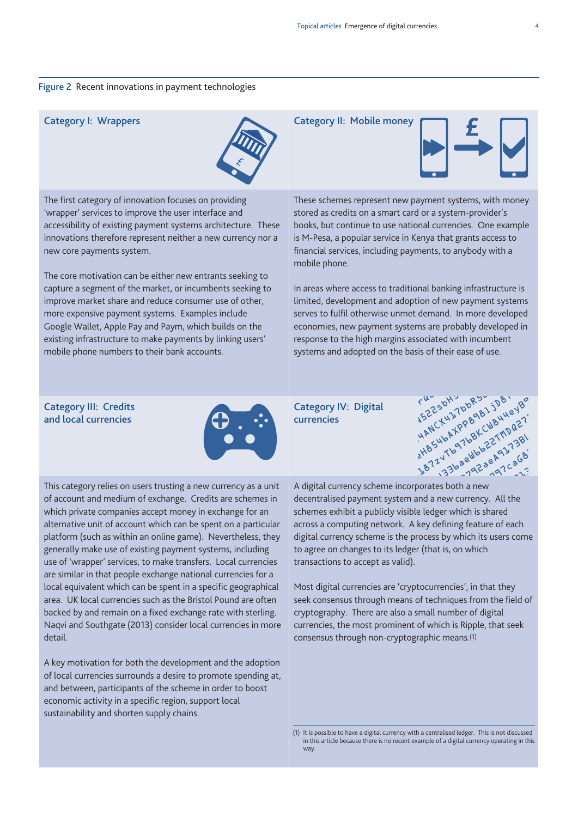#### **Figure 2** Recent innovations in payment technologies



The first category of innovation focuses on providing 'wrapper' services to improve the user interface and accessibility of existing payment systems architecture. These innovations therefore represent neither a new currency nor a new core payments system.

The core motivation can be either new entrants seeking to capture a segment of the market, or incumbents seeking to improve market share and reduce consumer use of other, more expensive payment systems. Examples include Google Wallet, Apple Pay and Paym, which builds on the existing infrastructure to make payments by linking users' mobile phone numbers to their bank accounts.

#### **Category I: Wrappers Category II: Mobile money**



These schemes represent new payment systems, with money stored as credits on a smart card or a system-provider's books, but continue to use national currencies. One example is M-Pesa, a popular service in Kenya that grants access to financial services, including payments, to anybody with a mobile phone.

In areas where access to traditional banking infrastructure is limited, development and adoption of new payment systems serves to fulfil otherwise unmet demand. In more developed economies, new payment systems are probably developed in response to the high margins associated with incumbent

#### **Category III: Credits and local currencies**



**Category IV: Digital currencies**



This category relies on users trusting a new currency as a unit of account and medium of exchange. Credits are schemes in which private companies accept money in exchange for an alternative unit of account which can be spent on a particular platform (such as within an online game). Nevertheless, they generally make use of existing payment systems, including use of 'wrapper' services, to make transfers. Local currencies are similar in that people exchange national currencies for a local equivalent which can be spent in a specific geographical area. UK local currencies such as the Bristol Pound are often backed by and remain on a fixed exchange rate with sterling. Naqvi and Southgate (2013) consider local currencies in more detail.

A key motivation for both the development and the adoption of local currencies surrounds a desire to promote spending at, and between, participants of the scheme in order to boost economic activity in a specific region, support local sustainability and shorten supply chains.

A digital currency scheme incorporates both a new decentralised payment system and a new currency. All the schemes exhibit a publicly visible ledger which is shared across a computing network. A key defining feature of each digital currency scheme is the process by which its users come to agree on changes to its ledger (that is, on which transactions to accept as valid).

Most digital currencies are 'cryptocurrencies', in that they seek consensus through means of techniques from the field of cryptography. There are also a small number of digital currencies, the most prominent of which is Ripple, that seek consensus through non-cryptographic means.(1)

(1) It is possible to have a digital currency with a centralised ledger. This is not discussed in this article because there is no recent example of a digital currency operating in this way.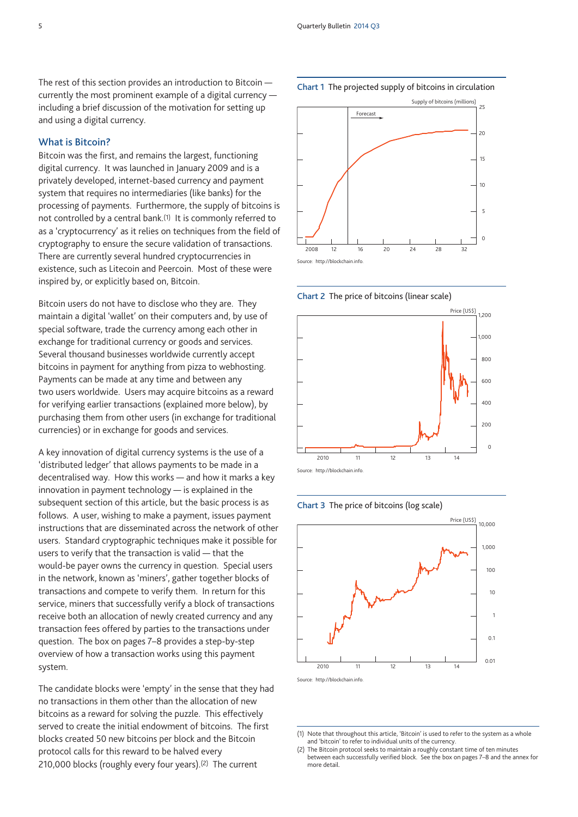The rest of this section provides an introduction to Bitcoin currently the most prominent example of a digital currency including a brief discussion of the motivation for setting up and using a digital currency.

#### **What is Bitcoin?**

Bitcoin was the first, and remains the largest, functioning digital currency. It was launched in January 2009 and is a privately developed, internet-based currency and payment system that requires no intermediaries (like banks) for the processing of payments. Furthermore, the supply of bitcoins is not controlled by a central bank.(1) It is commonly referred to as a 'cryptocurrency' as it relies on techniques from the field of cryptography to ensure the secure validation of transactions. There are currently several hundred cryptocurrencies in existence, such as Litecoin and Peercoin. Most of these were inspired by, or explicitly based on, Bitcoin.

Bitcoin users do not have to disclose who they are. They maintain a digital 'wallet' on their computers and, by use of special software, trade the currency among each other in exchange for traditional currency or goods and services. Several thousand businesses worldwide currently accept bitcoins in payment for anything from pizza to webhosting. Payments can be made at any time and between any two users worldwide. Users may acquire bitcoins as a reward for verifying earlier transactions (explained more below), by purchasing them from other users (in exchange for traditional currencies) or in exchange for goods and services.

A key innovation of digital currency systems is the use of a 'distributed ledger' that allows payments to be made in a decentralised way. How this works — and how it marks a key innovation in payment technology — is explained in the subsequent section of this article, but the basic process is as follows. A user, wishing to make a payment, issues payment instructions that are disseminated across the network of other users. Standard cryptographic techniques make it possible for users to verify that the transaction is valid — that the would-be payer owns the currency in question. Special users in the network, known as 'miners', gather together blocks of transactions and compete to verify them. In return for this service, miners that successfully verify a block of transactions receive both an allocation of newly created currency and any transaction fees offered by parties to the transactions under question. The box on pages 7–8 provides a step-by-step overview of how a transaction works using this payment system.

The candidate blocks were 'empty' in the sense that they had no transactions in them other than the allocation of new bitcoins as a reward for solving the puzzle. This effectively served to create the initial endowment of bitcoins. The first blocks created 50 new bitcoins per block and the Bitcoin protocol calls for this reward to be halved every 210,000 blocks (roughly every four years).(2) The current







**Chart 2** The price of bitcoins (linear scale)





<sup>(1)</sup> Note that throughout this article, 'Bitcoin' is used to refer to the system as a whole and 'bitcoin' to refer to individual units of the currency.

<sup>(2)</sup> The Bitcoin protocol seeks to maintain a roughly constant time of ten minutes between each successfully verified block. See the box on pages 7–8 and the annex for more detail.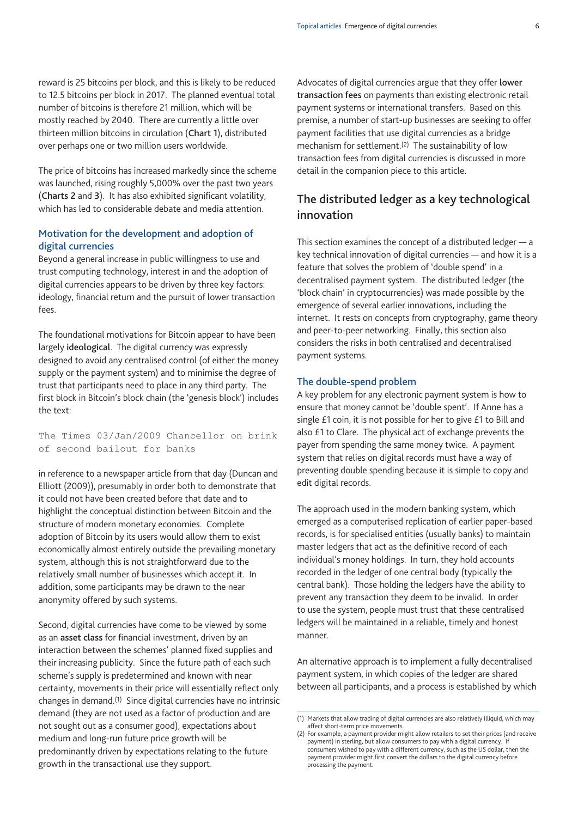reward is 25 bitcoins per block, and this is likely to be reduced to 12.5 bitcoins per block in 2017. The planned eventual total number of bitcoins is therefore 21 million, which will be mostly reached by 2040. There are currently a little over thirteen million bitcoins in circulation (**Chart 1**), distributed over perhaps one or two million users worldwide.

The price of bitcoins has increased markedly since the scheme was launched, rising roughly 5,000% over the past two years (**Charts 2** and **3**). It has also exhibited significant volatility, which has led to considerable debate and media attention.

#### **Motivation for the development and adoption of digital currencies**

Beyond a general increase in public willingness to use and trust computing technology, interest in and the adoption of digital currencies appears to be driven by three key factors: ideology, financial return and the pursuit of lower transaction fees.

The foundational motivations for Bitcoin appear to have been largely **ideological**. The digital currency was expressly designed to avoid any centralised control (of either the money supply or the payment system) and to minimise the degree of trust that participants need to place in any third party. The first block in Bitcoin's block chain (the 'genesis block') includes the text:

The Times 03/Jan/2009 Chancellor on brink of second bailout for banks

in reference to a newspaper article from that day (Duncan and Elliott (2009)), presumably in order both to demonstrate that it could not have been created before that date and to highlight the conceptual distinction between Bitcoin and the structure of modern monetary economies. Complete adoption of Bitcoin by its users would allow them to exist economically almost entirely outside the prevailing monetary system, although this is not straightforward due to the relatively small number of businesses which accept it. In addition, some participants may be drawn to the near anonymity offered by such systems.

Second, digital currencies have come to be viewed by some as an **asset class** for financial investment, driven by an interaction between the schemes' planned fixed supplies and their increasing publicity. Since the future path of each such scheme's supply is predetermined and known with near certainty, movements in their price will essentially reflect only changes in demand.(1) Since digital currencies have no intrinsic demand (they are not used as a factor of production and are not sought out as a consumer good), expectations about medium and long-run future price growth will be predominantly driven by expectations relating to the future growth in the transactional use they support.

Advocates of digital currencies argue that they offer **lower transaction fees** on payments than existing electronic retail payment systems or international transfers. Based on this premise, a number of start-up businesses are seeking to offer payment facilities that use digital currencies as a bridge mechanism for settlement.(2) The sustainability of low transaction fees from digital currencies is discussed in more detail in the companion piece to this article.

# **The distributed ledger as a key technological innovation**

This section examines the concept of a distributed ledger — a key technical innovation of digital currencies — and how it is a feature that solves the problem of 'double spend' in a decentralised payment system. The distributed ledger (the 'block chain' in cryptocurrencies) was made possible by the emergence of several earlier innovations, including the internet. It rests on concepts from cryptography, game theory and peer-to-peer networking. Finally, this section also considers the risks in both centralised and decentralised payment systems.

#### **The double-spend problem**

A key problem for any electronic payment system is how to ensure that money cannot be 'double spent'. If Anne has a single £1 coin, it is not possible for her to give £1 to Bill and also £1 to Clare. The physical act of exchange prevents the payer from spending the same money twice. A payment system that relies on digital records must have a way of preventing double spending because it is simple to copy and edit digital records.

The approach used in the modern banking system, which emerged as a computerised replication of earlier paper-based records, is for specialised entities (usually banks) to maintain master ledgers that act as the definitive record of each individual's money holdings. In turn, they hold accounts recorded in the ledger of one central body (typically the central bank). Those holding the ledgers have the ability to prevent any transaction they deem to be invalid. In order to use the system, people must trust that these centralised ledgers will be maintained in a reliable, timely and honest manner.

An alternative approach is to implement a fully decentralised payment system, in which copies of the ledger are shared between all participants, and a process is established by which

<sup>(1)</sup> Markets that allow trading of digital currencies are also relatively illiquid, which may affect short-term price movements.

<sup>(2)</sup> For example, a payment provider might allow retailers to set their prices (and receive payment) in sterling, but allow consumers to pay with a digital currency. If consumers wished to pay with a different currency, such as the US dollar, then the payment provider might first convert the dollars to the digital currency before processing the payment.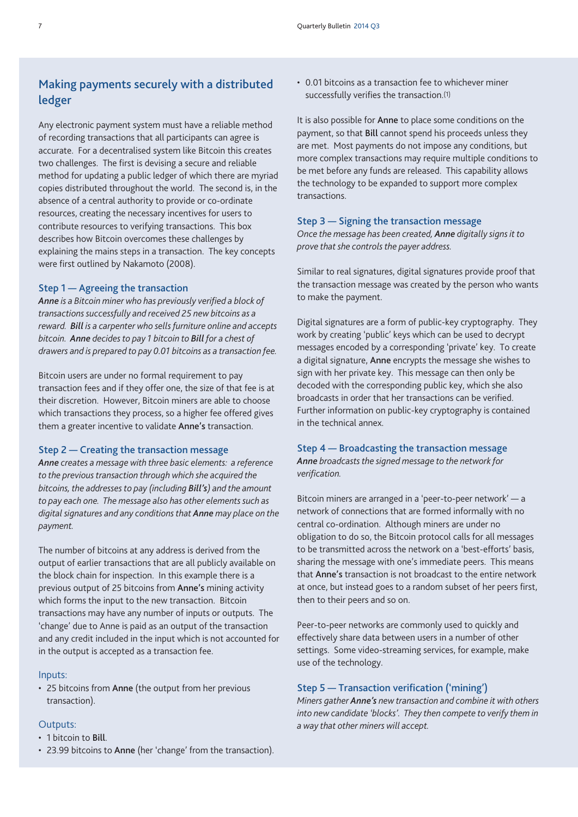# **Making payments securely with a distributed ledger**

Any electronic payment system must have a reliable method of recording transactions that all participants can agree is accurate. For a decentralised system like Bitcoin this creates two challenges. The first is devising a secure and reliable method for updating a public ledger of which there are myriad copies distributed throughout the world. The second is, in the absence of a central authority to provide or co-ordinate resources, creating the necessary incentives for users to contribute resources to verifying transactions. This box describes how Bitcoin overcomes these challenges by explaining the mains steps in a transaction. The key concepts were first outlined by Nakamoto (2008).

#### **Step 1 — Agreeing the transaction**

*Anne is a Bitcoin miner who has previously verified a block of transactions successfully and received 25 new bitcoins as a reward. Bill is a carpenter who sells furniture online and accepts bitcoin. Anne decides to pay 1 bitcoin to Bill for a chest of drawers and is prepared to pay 0.01 bitcoins as a transaction fee.*

Bitcoin users are under no formal requirement to pay transaction fees and if they offer one, the size of that fee is at their discretion. However, Bitcoin miners are able to choose which transactions they process, so a higher fee offered gives them a greater incentive to validate **Anne's** transaction.

#### **Step 2 — Creating the transaction message**

*Anne creates a message with three basic elements: a reference to the previous transaction through which she acquired the bitcoins, the addresses to pay (including Bill's) and the amount to pay each one. The message also has other elements such as digital signatures and any conditions that Anne may place on the payment.*

The number of bitcoins at any address is derived from the output of earlier transactions that are all publicly available on the block chain for inspection. In this example there is a previous output of 25 bitcoins from **Anne's** mining activity which forms the input to the new transaction. Bitcoin transactions may have any number of inputs or outputs. The 'change' due to Anne is paid as an output of the transaction and any credit included in the input which is not accounted for in the output is accepted as a transaction fee.

#### Inputs:

• 25 bitcoins from **Anne** (the output from her previous transaction).

#### Outputs:

- 1 bitcoin to **Bill**.
- 23.99 bitcoins to **Anne** (her 'change' from the transaction).

• 0.01 bitcoins as a transaction fee to whichever miner successfully verifies the transaction.(1)

It is also possible for **Anne** to place some conditions on the payment, so that **Bill** cannot spend his proceeds unless they are met. Most payments do not impose any conditions, but more complex transactions may require multiple conditions to be met before any funds are released. This capability allows the technology to be expanded to support more complex transactions.

#### **Step 3 — Signing the transaction message**

*Once the message has been created, Anne digitally signs it to prove that she controls the payer address.*

Similar to real signatures, digital signatures provide proof that the transaction message was created by the person who wants to make the payment.

Digital signatures are a form of public-key cryptography. They work by creating 'public' keys which can be used to decrypt messages encoded by a corresponding 'private' key. To create a digital signature, **Anne** encrypts the message she wishes to sign with her private key. This message can then only be decoded with the corresponding public key, which she also broadcasts in order that her transactions can be verified. Further information on public-key cryptography is contained in the technical annex.

#### **Step 4 — Broadcasting the transaction message** *Anne broadcasts the signed message to the network for verification.*

Bitcoin miners are arranged in a 'peer-to-peer network' — a network of connections that are formed informally with no central co-ordination. Although miners are under no obligation to do so, the Bitcoin protocol calls for all messages to be transmitted across the network on a 'best-efforts' basis, sharing the message with one's immediate peers. This means that **Anne's** transaction is not broadcast to the entire network at once, but instead goes to a random subset of her peers first, then to their peers and so on.

Peer-to-peer networks are commonly used to quickly and effectively share data between users in a number of other settings. Some video-streaming services, for example, make use of the technology.

#### **Step 5 — Transaction verification ('mining')**

*Miners gather Anne's new transaction and combine it with others into new candidate 'blocks'. They then compete to verify them in a way that other miners will accept.*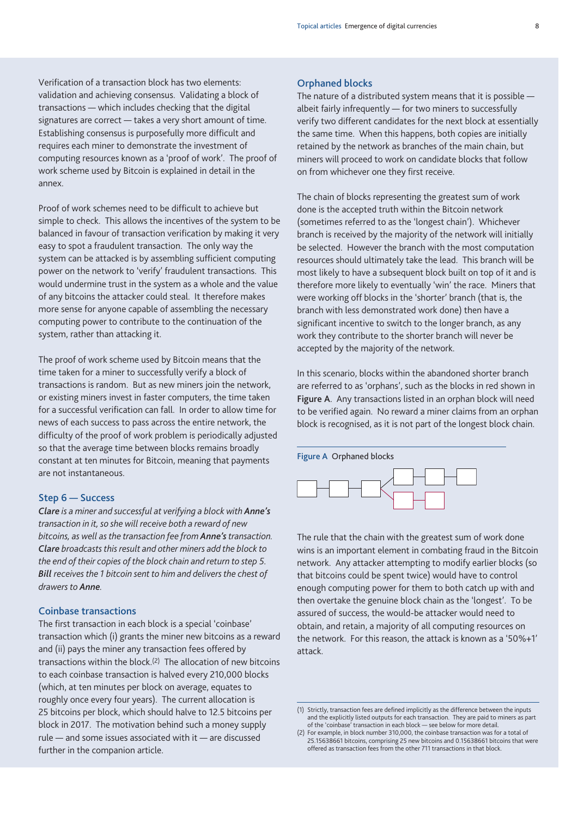Verification of a transaction block has two elements: validation and achieving consensus. Validating a block of transactions — which includes checking that the digital signatures are correct — takes a very short amount of time. Establishing consensus is purposefully more difficult and requires each miner to demonstrate the investment of computing resources known as a 'proof of work'. The proof of work scheme used by Bitcoin is explained in detail in the annex.

Proof of work schemes need to be difficult to achieve but simple to check. This allows the incentives of the system to be balanced in favour of transaction verification by making it very easy to spot a fraudulent transaction. The only way the system can be attacked is by assembling sufficient computing power on the network to 'verify' fraudulent transactions. This would undermine trust in the system as a whole and the value of any bitcoins the attacker could steal. It therefore makes more sense for anyone capable of assembling the necessary computing power to contribute to the continuation of the system, rather than attacking it.

The proof of work scheme used by Bitcoin means that the time taken for a miner to successfully verify a block of transactions is random. But as new miners join the network, or existing miners invest in faster computers, the time taken for a successful verification can fall. In order to allow time for news of each success to pass across the entire network, the difficulty of the proof of work problem is periodically adjusted so that the average time between blocks remains broadly constant at ten minutes for Bitcoin, meaning that payments are not instantaneous.

#### **Step 6 — Success**

*Clare is a miner and successful at verifying a block with Anne's transaction in it, so she will receive both a reward of new bitcoins, as well as the transaction fee from Anne'stransaction. Clare broadcasts this result and other miners add the block to the end of their copies of the block chain and return to step 5. Bill receives the 1 bitcoin sent to him and delivers the chest of drawers to Anne.*

### **Coinbase transactions**

The first transaction in each block is a special 'coinbase' transaction which (i) grants the miner new bitcoins as a reward and (ii) pays the miner any transaction fees offered by transactions within the block.(2) The allocation of new bitcoins to each coinbase transaction is halved every 210,000 blocks (which, at ten minutes per block on average, equates to roughly once every four years). The current allocation is 25 bitcoins per block, which should halve to 12.5 bitcoins per block in 2017. The motivation behind such a money supply rule — and some issues associated with it — are discussed further in the companion article.

#### **Orphaned blocks**

The nature of a distributed system means that it is possible albeit fairly infrequently — for two miners to successfully verify two different candidates for the next block at essentially the same time. When this happens, both copies are initially retained by the network as branches of the main chain, but miners will proceed to work on candidate blocks that follow on from whichever one they first receive.

The chain of blocks representing the greatest sum of work done is the accepted truth within the Bitcoin network (sometimes referred to as the 'longest chain'). Whichever branch is received by the majority of the network will initially be selected. However the branch with the most computation resources should ultimately take the lead. This branch will be most likely to have a subsequent block built on top of it and is therefore more likely to eventually 'win' the race. Miners that were working off blocks in the 'shorter' branch (that is, the branch with less demonstrated work done) then have a significant incentive to switch to the longer branch, as any work they contribute to the shorter branch will never be accepted by the majority of the network.

In this scenario, blocks within the abandoned shorter branch are referred to as 'orphans', such as the blocks in red shown in **Figure A**. Any transactions listed in an orphan block will need to be verified again. No reward a miner claims from an orphan block is recognised, as it is not part of the longest block chain.



The rule that the chain with the greatest sum of work done wins is an important element in combating fraud in the Bitcoin network. Any attacker attempting to modify earlier blocks (so that bitcoins could be spent twice) would have to control enough computing power for them to both catch up with and then overtake the genuine block chain as the 'longest'. To be assured of success, the would-be attacker would need to obtain, and retain, a majority of all computing resources on the network. For this reason, the attack is known as a '50%+1' attack.

<sup>(1)</sup> Strictly, transaction fees are defined implicitly as the difference between the inputs and the explicitly listed outputs for each transaction. They are paid to miners as part of the 'coinbase' transaction in each block — see below for more detail.

<sup>(2)</sup> For example, in block number 310,000, the coinbase transaction was for a total of 25.15638661 bitcoins, comprising 25 new bitcoins and 0.15638661 bitcoins that were offered as transaction fees from the other 711 transactions in that block.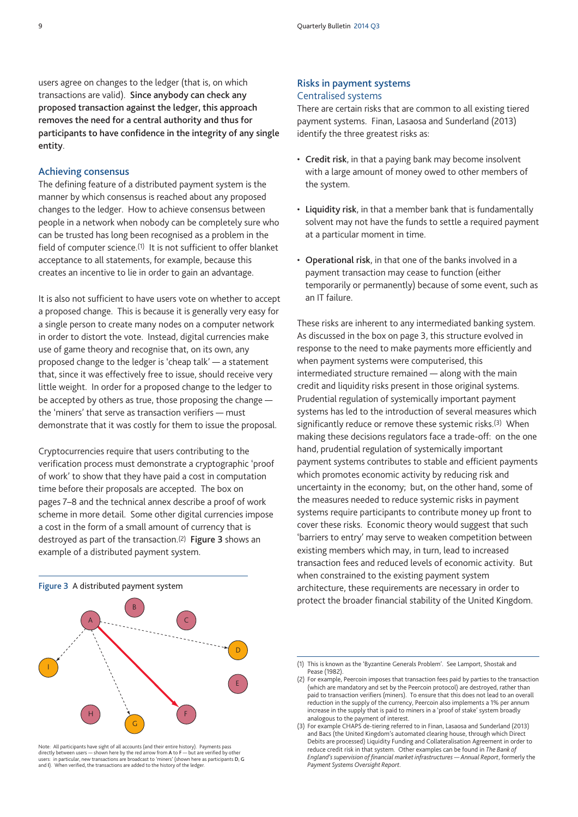users agree on changes to the ledger (that is, on which transactions are valid). **Since anybody can check any proposed transaction against the ledger, this approach removes the need for a central authority and thus for participants to have confidence in the integrity of any single entity**.

#### **Achieving consensus**

The defining feature of a distributed payment system is the manner by which consensus is reached about any proposed changes to the ledger. How to achieve consensus between people in a network when nobody can be completely sure who can be trusted has long been recognised as a problem in the field of computer science.(1) It is not sufficient to offer blanket acceptance to all statements, for example, because this creates an incentive to lie in order to gain an advantage.

It is also not sufficient to have users vote on whether to accept a proposed change. This is because it is generally very easy for a single person to create many nodes on a computer network in order to distort the vote. Instead, digital currencies make use of game theory and recognise that, on its own, any proposed change to the ledger is 'cheap talk' — a statement that, since it was effectively free to issue, should receive very little weight. In order for a proposed change to the ledger to be accepted by others as true, those proposing the change the 'miners' that serve as transaction verifiers — must demonstrate that it was costly for them to issue the proposal.

Cryptocurrencies require that users contributing to the verification process must demonstrate a cryptographic 'proof of work' to show that they have paid a cost in computation time before their proposals are accepted. The box on pages 7–8 and the technical annex describe a proof of work scheme in more detail. Some other digital currencies impose a cost in the form of a small amount of currency that is destroyed as part of the transaction.(2) **Figure 3** shows an example of a distributed payment system.

#### **Risks in payment systems** Centralised systems

There are certain risks that are common to all existing tiered payment systems. Finan, Lasaosa and Sunderland (2013) identify the three greatest risks as:

- **Credit risk**, in that a paying bank may become insolvent with a large amount of money owed to other members of the system.
- **Liquidity risk**, in that a member bank that is fundamentally solvent may not have the funds to settle a required payment at a particular moment in time.
- **Operational risk**, in that one of the banks involved in a payment transaction may cease to function (either temporarily or permanently) because of some event, such as an IT failure.

These risks are inherent to any intermediated banking system. As discussed in the box on page 3, this structure evolved in response to the need to make payments more efficiently and when payment systems were computerised, this intermediated structure remained — along with the main credit and liquidity risks present in those original systems. Prudential regulation of systemically important payment systems has led to the introduction of several measures which significantly reduce or remove these systemic risks.<sup>(3)</sup> When making these decisions regulators face a trade-off: on the one hand, prudential regulation of systemically important payment systems contributes to stable and efficient payments which promotes economic activity by reducing risk and uncertainty in the economy; but, on the other hand, some of the measures needed to reduce systemic risks in payment systems require participants to contribute money up front to cover these risks. Economic theory would suggest that such 'barriers to entry' may serve to weaken competition between existing members which may, in turn, lead to increased transaction fees and reduced levels of economic activity. But when constrained to the existing payment system architecture, these requirements are necessary in order to protect the broader financial stability of the United Kingdom.



Note: All participants have sight of all accounts (and their entire history). Payments pass directly between users — shown here by the red arrow from **A** to **F** — but are verified by other users: in particular, new transactions are broadcast to 'miners' (shown here as participants **D**, **G** and **I**). When verified, the transactions are added to the history of the ledger.



<sup>(2)</sup> For example, Peercoin imposes that transaction fees paid by parties to the transaction (which are mandatory and set by the Peercoin protocol) are destroyed, rather than paid to transaction verifiers (miners). To ensure that this does not lead to an overall reduction in the supply of the currency, Peercoin also implements a 1% per annum increase in the supply that is paid to miners in a 'proof of stake' system broadly analogous to the payment of interest.

<sup>(3)</sup> For example CHAPS de-tiering referred to in Finan, Lasaosa and Sunderland (2013) and Bacs (the United Kingdom's automated clearing house, through which Direct Debits are processed) Liquidity Funding and Collateralisation Agreement in order to reduce credit risk in that system. Other examples can be found in *The Bank of England's supervision of financial market infrastructures — Annual Report*, formerly the *Payment Systems Oversight Report*.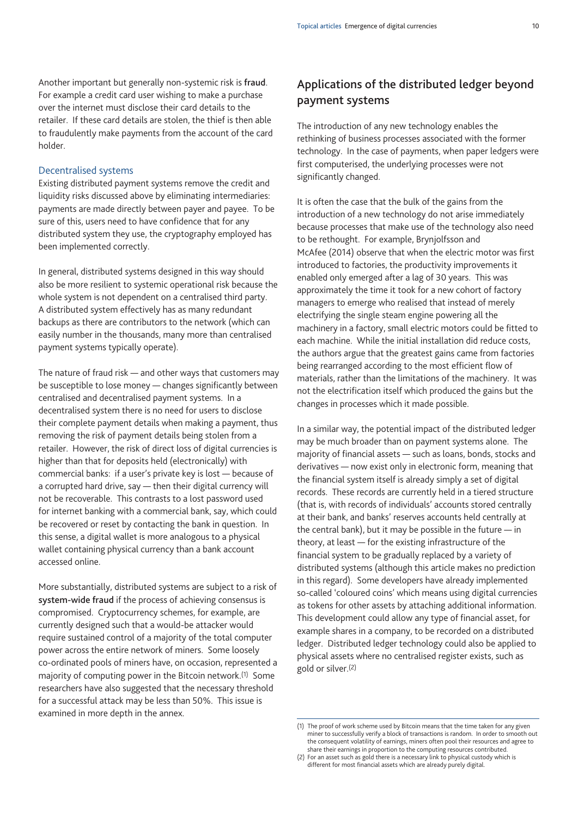Another important but generally non-systemic risk is **fraud**. For example a credit card user wishing to make a purchase over the internet must disclose their card details to the retailer. If these card details are stolen, the thief is then able to fraudulently make payments from the account of the card holder.

#### Decentralised systems

Existing distributed payment systems remove the credit and liquidity risks discussed above by eliminating intermediaries: payments are made directly between payer and payee. To be sure of this, users need to have confidence that for any distributed system they use, the cryptography employed has been implemented correctly.

In general, distributed systems designed in this way should also be more resilient to systemic operational risk because the whole system is not dependent on a centralised third party. A distributed system effectively has as many redundant backups as there are contributors to the network (which can easily number in the thousands, many more than centralised payment systems typically operate).

The nature of fraud risk — and other ways that customers may be susceptible to lose money — changes significantly between centralised and decentralised payment systems. In a decentralised system there is no need for users to disclose their complete payment details when making a payment, thus removing the risk of payment details being stolen from a retailer. However, the risk of direct loss of digital currencies is higher than that for deposits held (electronically) with commercial banks: if a user's private key is lost — because of a corrupted hard drive, say — then their digital currency will not be recoverable. This contrasts to a lost password used for internet banking with a commercial bank, say, which could be recovered or reset by contacting the bank in question. In this sense, a digital wallet is more analogous to a physical wallet containing physical currency than a bank account accessed online.

More substantially, distributed systems are subject to a risk of **system-wide fraud** if the process of achieving consensus is compromised. Cryptocurrency schemes, for example, are currently designed such that a would-be attacker would require sustained control of a majority of the total computer power across the entire network of miners. Some loosely co-ordinated pools of miners have, on occasion, represented a majority of computing power in the Bitcoin network.(1) Some researchers have also suggested that the necessary threshold for a successful attack may be less than 50%. This issue is examined in more depth in the annex.

# **Applications of the distributed ledger beyond payment systems**

The introduction of any new technology enables the rethinking of business processes associated with the former technology. In the case of payments, when paper ledgers were first computerised, the underlying processes were not significantly changed.

It is often the case that the bulk of the gains from the introduction of a new technology do not arise immediately because processes that make use of the technology also need to be rethought. For example, Brynjolfsson and McAfee (2014) observe that when the electric motor was first introduced to factories, the productivity improvements it enabled only emerged after a lag of 30 years. This was approximately the time it took for a new cohort of factory managers to emerge who realised that instead of merely electrifying the single steam engine powering all the machinery in a factory, small electric motors could be fitted to each machine. While the initial installation did reduce costs, the authors argue that the greatest gains came from factories being rearranged according to the most efficient flow of materials, rather than the limitations of the machinery. It was not the electrification itself which produced the gains but the changes in processes which it made possible.

In a similar way, the potential impact of the distributed ledger may be much broader than on payment systems alone. The majority of financial assets — such as loans, bonds, stocks and derivatives — now exist only in electronic form, meaning that the financial system itself is already simply a set of digital records. These records are currently held in a tiered structure (that is, with records of individuals' accounts stored centrally at their bank, and banks' reserves accounts held centrally at the central bank), but it may be possible in the future — in theory, at least — for the existing infrastructure of the financial system to be gradually replaced by a variety of distributed systems (although this article makes no prediction in this regard). Some developers have already implemented so-called 'coloured coins' which means using digital currencies as tokens for other assets by attaching additional information. This development could allow any type of financial asset, for example shares in a company, to be recorded on a distributed ledger. Distributed ledger technology could also be applied to physical assets where no centralised register exists, such as gold or silver.(2)

<sup>(1)</sup> The proof of work scheme used by Bitcoin means that the time taken for any given miner to successfully verify a block of transactions is random. In order to smooth out the consequent volatility of earnings, miners often pool their resources and agree to share their earnings in proportion to the computing resources contributed.

<sup>(2)</sup> For an asset such as gold there is a necessary link to physical custody which is different for most financial assets which are already purely digital.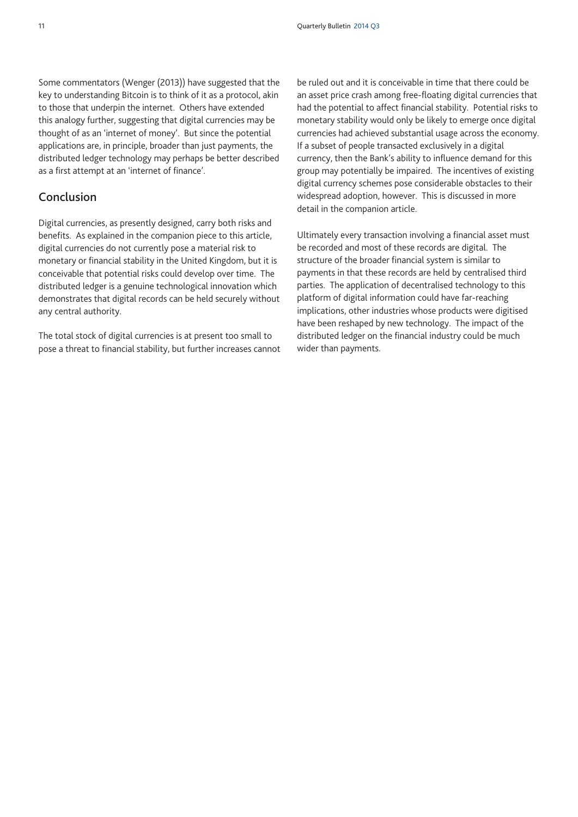Some commentators (Wenger (2013)) have suggested that the key to understanding Bitcoin is to think of it as a protocol, akin to those that underpin the internet. Others have extended this analogy further, suggesting that digital currencies may be thought of as an 'internet of money'. But since the potential applications are, in principle, broader than just payments, the distributed ledger technology may perhaps be better described as a first attempt at an 'internet of finance'.

# **Conclusion**

Digital currencies, as presently designed, carry both risks and benefits. As explained in the companion piece to this article, digital currencies do not currently pose a material risk to monetary or financial stability in the United Kingdom, but it is conceivable that potential risks could develop over time. The distributed ledger is a genuine technological innovation which demonstrates that digital records can be held securely without any central authority.

The total stock of digital currencies is at present too small to pose a threat to financial stability, but further increases cannot be ruled out and it is conceivable in time that there could be an asset price crash among free-floating digital currencies that had the potential to affect financial stability. Potential risks to monetary stability would only be likely to emerge once digital currencies had achieved substantial usage across the economy. If a subset of people transacted exclusively in a digital currency, then the Bank's ability to influence demand for this group may potentially be impaired. The incentives of existing digital currency schemes pose considerable obstacles to their widespread adoption, however. This is discussed in more detail in the companion article.

Ultimately every transaction involving a financial asset must be recorded and most of these records are digital. The structure of the broader financial system is similar to payments in that these records are held by centralised third parties. The application of decentralised technology to this platform of digital information could have far-reaching implications, other industries whose products were digitised have been reshaped by new technology. The impact of the distributed ledger on the financial industry could be much wider than payments.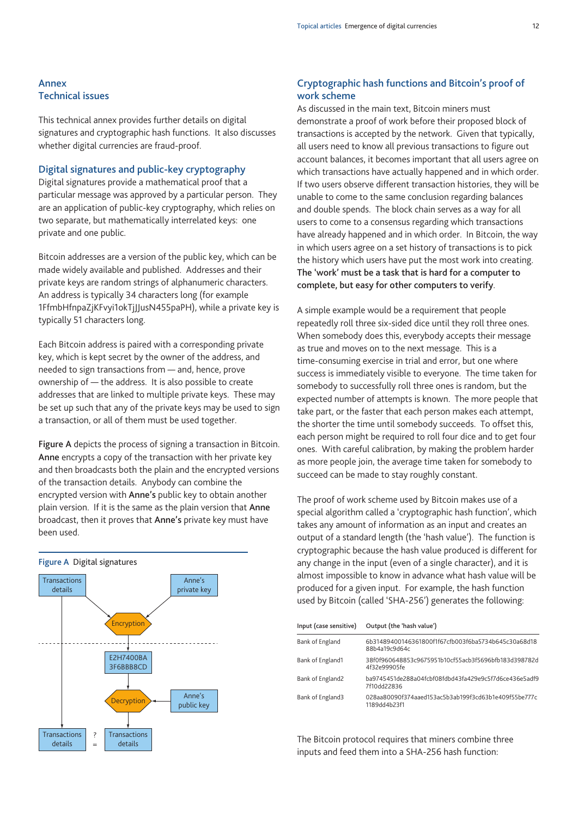#### **Annex Technical issues**

This technical annex provides further details on digital signatures and cryptographic hash functions. It also discusses whether digital currencies are fraud-proof.

#### **Digital signatures and public-key cryptography**

Digital signatures provide a mathematical proof that a particular message was approved by a particular person. They are an application of public-key cryptography, which relies on two separate, but mathematically interrelated keys: one private and one public.

Bitcoin addresses are a version of the public key, which can be made widely available and published. Addresses and their private keys are random strings of alphanumeric characters. An address is typically 34 characters long (for example 1FfmbHfnpaZjKFvyi1okTjJJusN455paPH), while a private key is typically 51 characters long.

Each Bitcoin address is paired with a corresponding private key, which is kept secret by the owner of the address, and needed to sign transactions from — and, hence, prove ownership of — the address. It is also possible to create addresses that are linked to multiple private keys. These may be set up such that any of the private keys may be used to sign a transaction, or all of them must be used together.

**Figure A** depicts the process of signing a transaction in Bitcoin. **Anne** encrypts a copy of the transaction with her private key and then broadcasts both the plain and the encrypted versions of the transaction details. Anybody can combine the encrypted version with **Anne's** public key to obtain another plain version. If it is the same as the plain version that **Anne** broadcast, then it proves that **Anne's** private key must have been used.



## **Cryptographic hash functions and Bitcoin's proof of work scheme**

As discussed in the main text, Bitcoin miners must demonstrate a proof of work before their proposed block of transactions is accepted by the network. Given that typically, all users need to know all previous transactions to figure out account balances, it becomes important that all users agree on which transactions have actually happened and in which order. If two users observe different transaction histories, they will be unable to come to the same conclusion regarding balances and double spends. The block chain serves as a way for all users to come to a consensus regarding which transactions have already happened and in which order. In Bitcoin, the way in which users agree on a set history of transactions is to pick the history which users have put the most work into creating. **The 'work' must be a task that is hard for a computer to complete, but easy for other computers to verify**.

A simple example would be a requirement that people repeatedly roll three six-sided dice until they roll three ones. When somebody does this, everybody accepts their message as true and moves on to the next message. This is a time-consuming exercise in trial and error, but one where success is immediately visible to everyone. The time taken for somebody to successfully roll three ones is random, but the expected number of attempts is known. The more people that take part, or the faster that each person makes each attempt, the shorter the time until somebody succeeds. To offset this, each person might be required to roll four dice and to get four ones. With careful calibration, by making the problem harder as more people join, the average time taken for somebody to succeed can be made to stay roughly constant.

The proof of work scheme used by Bitcoin makes use of a special algorithm called a 'cryptographic hash function', which takes any amount of information as an input and creates an output of a standard length (the 'hash value'). The function is cryptographic because the hash value produced is different for any change in the input (even of a single character), and it is almost impossible to know in advance what hash value will be produced for a given input. For example, the hash function used by Bitcoin (called 'SHA-256') generates the following:

| Input (case sensitive) | Output (the 'hash value')                                            |
|------------------------|----------------------------------------------------------------------|
| Bank of England        | 6b31489400146361800f1f67cfb003f6ba5734b645c30a68d18<br>88b4a19c9d64c |
| Bank of England1       | 38f0f960648853c9675951b10cf55acb3f5696bfb183d398782d<br>4f32e99905fe |
| Bank of England2       | ba9745451de288a04fcbf08fdbd43fa429e9c5f7d6ce436e5adf9<br>7f10dd22836 |
| Bank of England3       | 028aa80090f374aaed153ac5b3ab199f3cd63b1e409f55be777c<br>1189dd4b23f1 |

The Bitcoin protocol requires that miners combine three inputs and feed them into a SHA-256 hash function: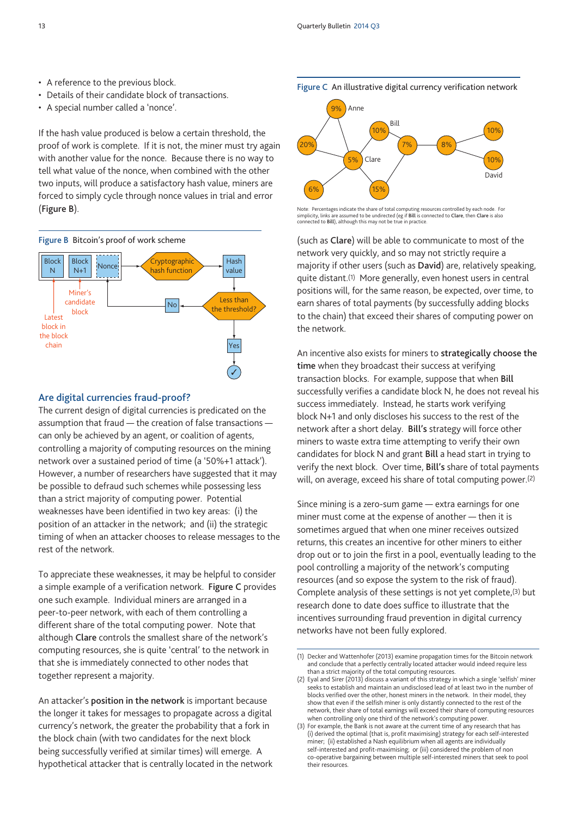- A reference to the previous block.
- Details of their candidate block of transactions.
- A special number called a 'nonce'.

If the hash value produced is below a certain threshold, the proof of work is complete. If it is not, the miner must try again with another value for the nonce. Because there is no way to tell what value of the nonce, when combined with the other two inputs, will produce a satisfactory hash value, miners are forced to simply cycle through nonce values in trial and error (**Figure B**).



#### **Are digital currencies fraud-proof?**

The current design of digital currencies is predicated on the assumption that fraud - the creation of false transactions can only be achieved by an agent, or coalition of agents, controlling a majority of computing resources on the mining network over a sustained period of time (a '50%+1 attack'). However, a number of researchers have suggested that it may be possible to defraud such schemes while possessing less than a strict majority of computing power. Potential weaknesses have been identified in two key areas: (i) the position of an attacker in the network; and (ii) the strategic timing of when an attacker chooses to release messages to the rest of the network.

To appreciate these weaknesses, it may be helpful to consider a simple example of a verification network. **Figure C** provides one such example. Individual miners are arranged in a peer-to-peer network, with each of them controlling a different share of the total computing power. Note that although **Clare** controls the smallest share of the network's computing resources, she is quite 'central' to the network in that she is immediately connected to other nodes that together represent a majority.

An attacker's **position in the network** is important because the longer it takes for messages to propagate across a digital currency's network, the greater the probability that a fork in the block chain (with two candidates for the next block being successfully verified at similar times) will emerge. A hypothetical attacker that is centrally located in the network **Figure C** An illustrative digital currency verification network



Note: Percentages indicate the share of total computing resources controlled by each node. For simplicity, links are assumed to be undirected (eg if **Bill** is connected to **Clare**, then **Clare** is also connected to **Bill**), although this may not be true in practice.

(such as **Clare**) will be able to communicate to most of the network very quickly, and so may not strictly require a majority if other users (such as **David**) are, relatively speaking, quite distant.(1) More generally, even honest users in central positions will, for the same reason, be expected, over time, to earn shares of total payments (by successfully adding blocks to the chain) that exceed their shares of computing power on the network.

An incentive also exists for miners to **strategically choose the time** when they broadcast their success at verifying transaction blocks. For example, suppose that when **Bill** successfully verifies a candidate block N, he does not reveal his success immediately. Instead, he starts work verifying block N+1 and only discloses his success to the rest of the network after a short delay. **Bill's** strategy will force other miners to waste extra time attempting to verify their own candidates for block N and grant **Bill** a head start in trying to verify the next block. Over time, **Bill's** share of total payments will, on average, exceed his share of total computing power.(2)

Since mining is a zero-sum game — extra earnings for one miner must come at the expense of another — then it is sometimes argued that when one miner receives outsized returns, this creates an incentive for other miners to either drop out or to join the first in a pool, eventually leading to the pool controlling a majority of the network's computing resources (and so expose the system to the risk of fraud). Complete analysis of these settings is not yet complete,(3) but research done to date does suffice to illustrate that the incentives surrounding fraud prevention in digital currency networks have not been fully explored.

<sup>(1)</sup> Decker and Wattenhofer (2013) examine propagation times for the Bitcoin network and conclude that a perfectly centrally located attacker would indeed require less than a strict majority of the total computing resources.

<sup>(2)</sup> Eyal and Sirer (2013) discuss a variant of this strategy in which a single 'selfish' miner seeks to establish and maintain an undisclosed lead of at least two in the number of blocks verified over the other, honest miners in the network. In their model, they show that even if the selfish miner is only distantly connected to the rest of the network, their share of total earnings will exceed their share of computing resources when controlling only one third of the network's computing power.

<sup>(3)</sup> For example, the Bank is not aware at the current time of any research that has (i) derived the optimal (that is, profit maximising) strategy for each self-interested miner; (ii) established a Nash equilibrium when all agents are individually self-interested and profit-maximising; or (iii) considered the problem of non co-operative bargaining between multiple self-interested miners that seek to pool their resources.